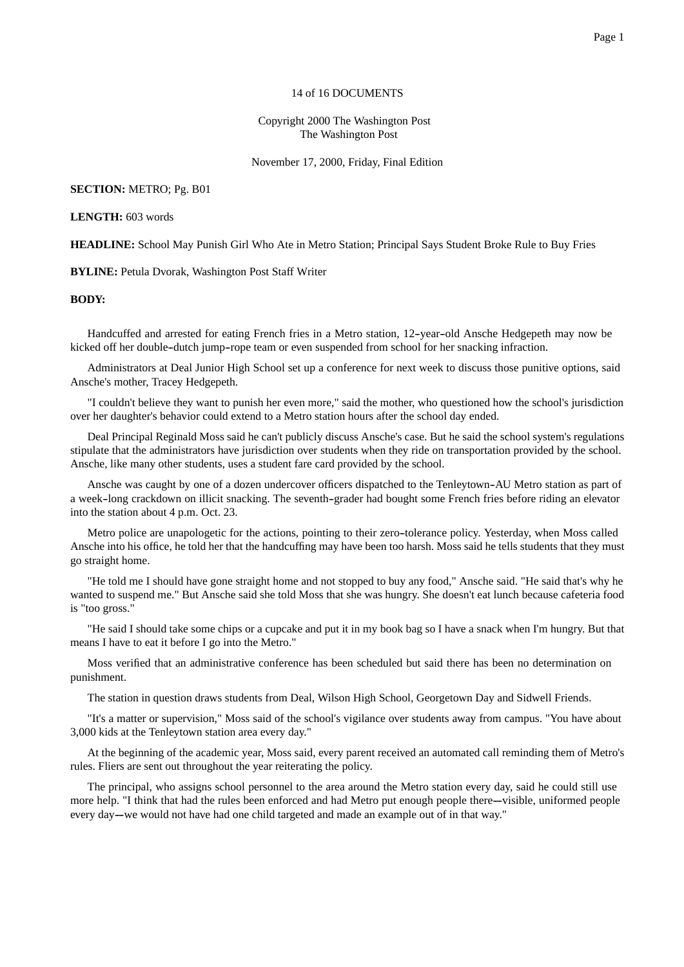## 14 of 16 DOCUMENTS

Copyright 2000 The Washington Post The Washington Post

November 17, 2000, Friday, Final Edition

## **SECTION:** METRO; Pg. B01

## **LENGTH:** 603 words

**HEADLINE:** School May Punish Girl Who Ate in Metro Station; Principal Says Student Broke Rule to Buy Fries

**BYLINE:** Petula Dvorak, Washington Post Staff Writer

## **BODY:**

Handcuffed and arrested for eating French fries in a Metro station, 12-year-old Ansche Hedgepeth may now be kicked off her double--dutch jump--rope team or even suspended from school for her snacking infraction.

Administrators at Deal Junior High School set up a conference for next week to discuss those punitive options, said Ansche's mother, Tracey Hedgepeth.

"I couldn't believe they want to punish her even more," said the mother, who questioned how the school's jurisdiction over her daughter's behavior could extend to a Metro station hours after the school day ended.

Deal Principal Reginald Moss said he can't publicly discuss Ansche's case. But he said the school system's regulations stipulate that the administrators have jurisdiction over students when they ride on transportation provided by the school. Ansche, like many other students, uses a student fare card provided by the school.

Ansche was caught by one of a dozen undercover officers dispatched to the Tenleytown-AU Metro station as part of a week-long crackdown on illicit snacking. The seventh-grader had bought some French fries before riding an elevator into the station about 4 p.m. Oct. 23.

Metro police are unapologetic for the actions, pointing to their zero-tolerance policy. Yesterday, when Moss called Ansche into his office, he told her that the handcuffing may have been too harsh. Moss said he tells students that they must go straight home.

"He told me I should have gone straight home and not stopped to buy any food," Ansche said. "He said that's why he wanted to suspend me." But Ansche said she told Moss that she was hungry. She doesn't eat lunch because cafeteria food is "too gross."

"He said I should take some chips or a cupcake and put it in my book bag so I have a snack when I'm hungry. But that means I have to eat it before I go into the Metro."

Moss verified that an administrative conference has been scheduled but said there has been no determination on punishment.

The station in question draws students from Deal, Wilson High School, Georgetown Day and Sidwell Friends.

"It's a matter or supervision," Moss said of the school's vigilance over students away from campus. "You have about 3,000 kids at the Tenleytown station area every day."

At the beginning of the academic year, Moss said, every parent received an automated call reminding them of Metro's rules. Fliers are sent out throughout the year reiterating the policy.

The principal, who assigns school personnel to the area around the Metro station every day, said he could still use more help. "I think that had the rules been enforced and had Metro put enough people there—visible, uniformed people every day—we would not have had one child targeted and made an example out of in that way."